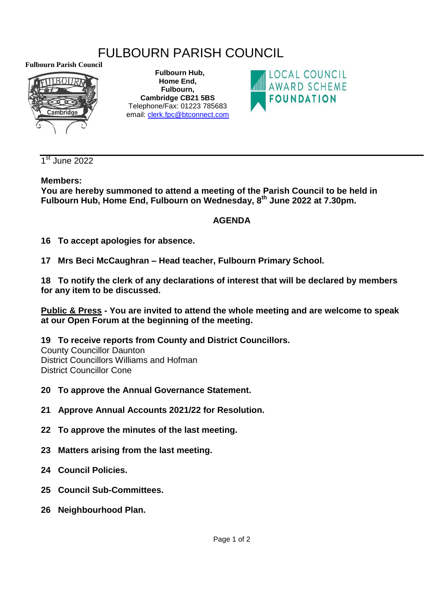# FULBOURN PARISH COUNCIL

**Fulbourn Parish Council**



 **Fulbourn Hub, Home End, Fulbourn, Cambridge CB21 5BS** Telephone/Fax: 01223 785683 email: [clerk.fpc@btconnect.com](mailto:clerk.fpc@btconnect.com)



1<sup>st</sup> June 2022

### **Members:**

**You are hereby summoned to attend a meeting of the Parish Council to be held in Fulbourn Hub, Home End, Fulbourn on Wednesday, 8 th June 2022 at 7.30pm.**

## **AGENDA**

**16 To accept apologies for absence.**

**17 Mrs Beci McCaughran – Head teacher, Fulbourn Primary School.**

**18 To notify the clerk of any declarations of interest that will be declared by members for any item to be discussed.** 

**Public & Press - You are invited to attend the whole meeting and are welcome to speak at our Open Forum at the beginning of the meeting.** 

**19 To receive reports from County and District Councillors.**

County Councillor Daunton District Councillors Williams and Hofman District Councillor Cone

- **20 To approve the Annual Governance Statement.**
- **21 Approve Annual Accounts 2021/22 for Resolution.**
- **22 To approve the minutes of the last meeting.**
- **23 Matters arising from the last meeting.**
- **24 Council Policies.**
- **25 Council Sub-Committees.**
- **26 Neighbourhood Plan.**